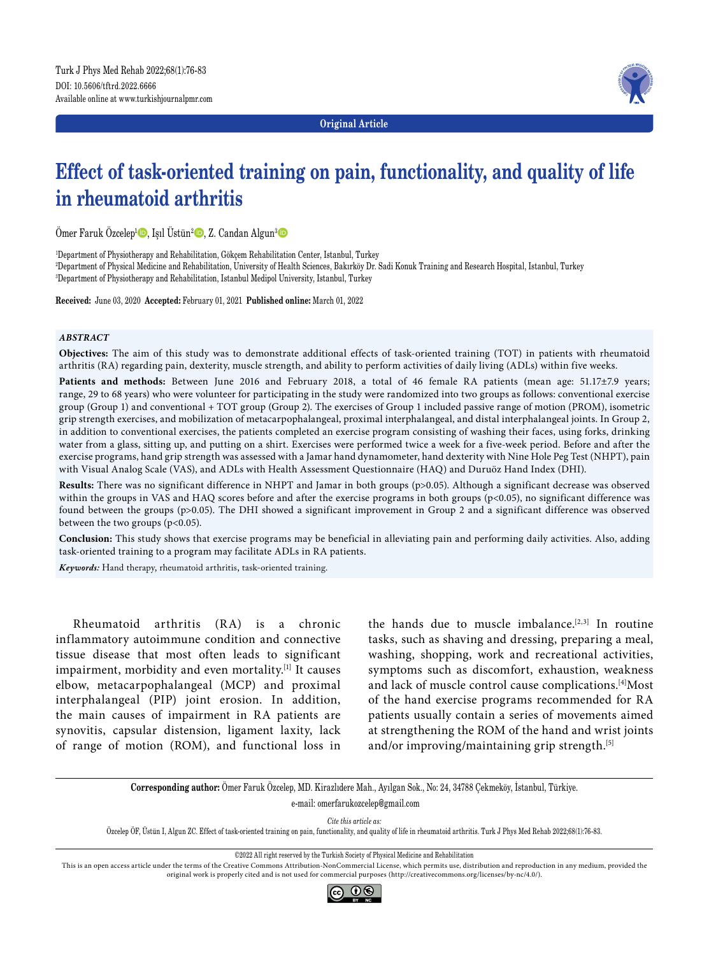

**Original Article**

# **Effect of task-oriented training on pain, functionality, and quality of life in rheumatoid arthritis**

Ömer Faruk Özcelep<sup>ı</sup> D, Işıl Üstün<sup>2</sup> D, Z. Candan Algun<sup>3</sup> D

1 Department of Physiotherapy and Rehabilitation, Gökçem Rehabilitation Center, Istanbul, Turkey 2 Department of Physical Medicine and Rehabilitation, University of Health Sciences, Bakırköy Dr. Sadi Konuk Training and Research Hospital, Istanbul, Turkey 3 Department of Physiotherapy and Rehabilitation, Istanbul Medipol University, Istanbul, Turkey

**Received:** June 03, 2020 **Accepted:** February 01, 2021 **Published online:** March 01, 2022

#### *ABSTRACT*

**Objectives:** The aim of this study was to demonstrate additional effects of task-oriented training (TOT) in patients with rheumatoid arthritis (RA) regarding pain, dexterity, muscle strength, and ability to perform activities of daily living (ADLs) within five weeks.

Patients and methods: Between June 2016 and February 2018, a total of 46 female RA patients (mean age: 51.17±7.9 years; range, 29 to 68 years) who were volunteer for participating in the study were randomized into two groups as follows: conventional exercise group (Group 1) and conventional + TOT group (Group 2). The exercises of Group 1 included passive range of motion (PROM), isometric grip strength exercises, and mobilization of metacarpophalangeal, proximal interphalangeal, and distal interphalangeal joints. In Group 2, in addition to conventional exercises, the patients completed an exercise program consisting of washing their faces, using forks, drinking water from a glass, sitting up, and putting on a shirt. Exercises were performed twice a week for a five-week period. Before and after the exercise programs, hand grip strength was assessed with a Jamar hand dynamometer, hand dexterity with Nine Hole Peg Test (NHPT), pain with Visual Analog Scale (VAS), and ADLs with Health Assessment Questionnaire (HAQ) and Duruöz Hand Index (DHI).

**Results:** There was no significant difference in NHPT and Jamar in both groups (p>0.05). Although a significant decrease was observed within the groups in VAS and HAQ scores before and after the exercise programs in both groups (p<0.05), no significant difference was found between the groups (p>0.05). The DHI showed a significant improvement in Group 2 and a significant difference was observed between the two groups (p<0.05).

**Conclusion:** This study shows that exercise programs may be beneficial in alleviating pain and performing daily activities. Also, adding task-oriented training to a program may facilitate ADLs in RA patients.

*Keywords:* Hand therapy, rheumatoid arthritis, task-oriented training.

Rheumatoid arthritis (RA) is a chronic inflammatory autoimmune condition and connective tissue disease that most often leads to significant impairment, morbidity and even mortality.[1] It causes elbow, metacarpophalangeal (MCP) and proximal interphalangeal (PIP) joint erosion. In addition, the main causes of impairment in RA patients are synovitis, capsular distension, ligament laxity, lack of range of motion (ROM), and functional loss in the hands due to muscle imbalance.<sup>[2,3]</sup> In routine tasks, such as shaving and dressing, preparing a meal, washing, shopping, work and recreational activities, symptoms such as discomfort, exhaustion, weakness and lack of muscle control cause complications.<sup>[4]</sup>Most of the hand exercise programs recommended for RA patients usually contain a series of movements aimed at strengthening the ROM of the hand and wrist joints and/or improving/maintaining grip strength.<sup>[5]</sup>

**Corresponding author:** Ömer Faruk Özcelep, MD. Kirazlıdere Mah., Ayılgan Sok., No: 24, 34788 Çekmeköy, İstanbul, Türkiye.

e-mail: omerfarukozcelep@gmail.com

*Cite this article as:* Özcelep ÖF, Üstün I, Algun ZC. Effect of task-oriented training on pain, functionality, and quality of life in rheumatoid arthritis. Turk J Phys Med Rehab 2022;68(1):76-83.

©2022 All right reserved by the Turkish Society of Physical Medicine and Rehabilitation

This is an open access article under the terms of the Creative Commons Attribution-NonCommercial License, which permits use, distribution and reproduction in any medium, provided the original work is properly cited and is not used for commercial purposes (http://creativecommons.org/licenses/by-nc/4.0/).

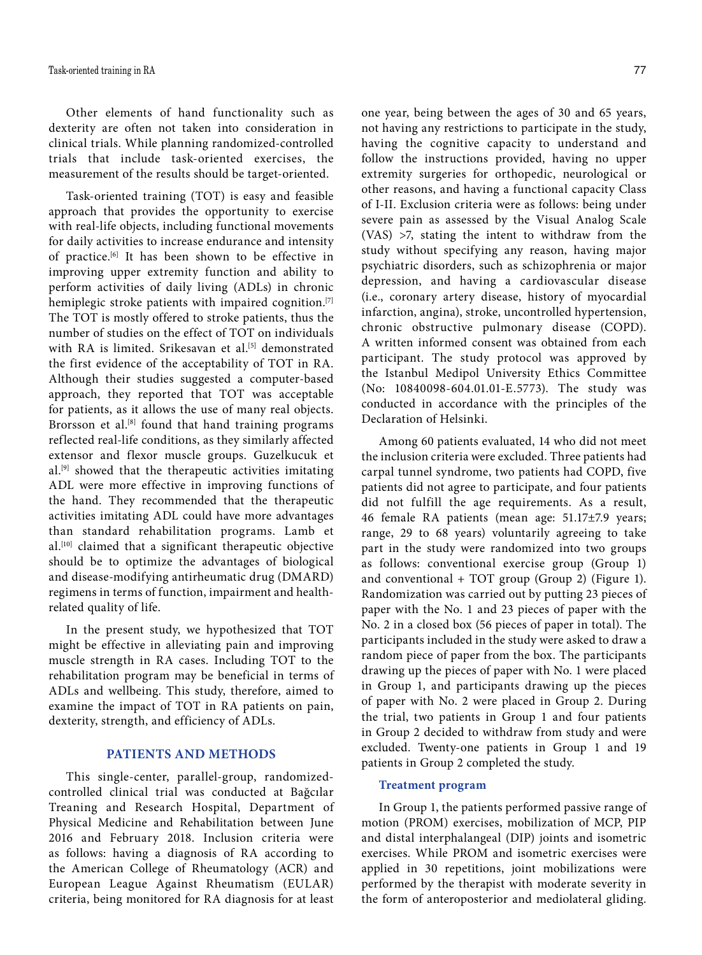Other elements of hand functionality such as dexterity are often not taken into consideration in clinical trials. While planning randomized-controlled trials that include task-oriented exercises, the measurement of the results should be target-oriented.

Task-oriented training (TOT) is easy and feasible approach that provides the opportunity to exercise with real-life objects, including functional movements for daily activities to increase endurance and intensity of practice.<sup>[6]</sup> It has been shown to be effective in improving upper extremity function and ability to perform activities of daily living (ADLs) in chronic hemiplegic stroke patients with impaired cognition.<sup>[7]</sup> The TOT is mostly offered to stroke patients, thus the number of studies on the effect of TOT on individuals with RA is limited. Srikesavan et al.<sup>[5]</sup> demonstrated the first evidence of the acceptability of TOT in RA. Although their studies suggested a computer-based approach, they reported that TOT was acceptable for patients, as it allows the use of many real objects. Brorsson et al.<sup>[8]</sup> found that hand training programs reflected real-life conditions, as they similarly affected extensor and flexor muscle groups. Guzelkucuk et al.<sup>[9]</sup> showed that the therapeutic activities imitating ADL were more effective in improving functions of the hand. They recommended that the therapeutic activities imitating ADL could have more advantages than standard rehabilitation programs. Lamb et al.[10] claimed that a significant therapeutic objective should be to optimize the advantages of biological and disease-modifying antirheumatic drug (DMARD) regimens in terms of function, impairment and healthrelated quality of life.

In the present study, we hypothesized that TOT might be effective in alleviating pain and improving muscle strength in RA cases. Including TOT to the rehabilitation program may be beneficial in terms of ADLs and wellbeing. This study, therefore, aimed to examine the impact of TOT in RA patients on pain, dexterity, strength, and efficiency of ADLs.

# **PATIENTS AND METHODS**

This single-center, parallel-group, randomizedcontrolled clinical trial was conducted at Bağcılar Treaning and Research Hospital, Department of Physical Medicine and Rehabilitation between June 2016 and February 2018. Inclusion criteria were as follows: having a diagnosis of RA according to the American College of Rheumatology (ACR) and European League Against Rheumatism (EULAR) criteria, being monitored for RA diagnosis for at least one year, being between the ages of 30 and 65 years, not having any restrictions to participate in the study, having the cognitive capacity to understand and follow the instructions provided, having no upper extremity surgeries for orthopedic, neurological or other reasons, and having a functional capacity Class of I-II. Exclusion criteria were as follows: being under severe pain as assessed by the Visual Analog Scale (VAS) >7, stating the intent to withdraw from the study without specifying any reason, having major psychiatric disorders, such as schizophrenia or major depression, and having a cardiovascular disease (i.e., coronary artery disease, history of myocardial infarction, angina), stroke, uncontrolled hypertension, chronic obstructive pulmonary disease (COPD). A written informed consent was obtained from each participant. The study protocol was approved by the Istanbul Medipol University Ethics Committee (No: 10840098-604.01.01-E.5773). The study was conducted in accordance with the principles of the Declaration of Helsinki.

Among 60 patients evaluated, 14 who did not meet the inclusion criteria were excluded. Three patients had carpal tunnel syndrome, two patients had COPD, five patients did not agree to participate, and four patients did not fulfill the age requirements. As a result, 46 female RA patients (mean age: 51.17±7.9 years; range, 29 to 68 years) voluntarily agreeing to take part in the study were randomized into two groups as follows: conventional exercise group (Group 1) and conventional + TOT group (Group 2) (Figure 1). Randomization was carried out by putting 23 pieces of paper with the No. 1 and 23 pieces of paper with the No. 2 in a closed box (56 pieces of paper in total). The participants included in the study were asked to draw a random piece of paper from the box. The participants drawing up the pieces of paper with No. 1 were placed in Group 1, and participants drawing up the pieces of paper with No. 2 were placed in Group 2. During the trial, two patients in Group 1 and four patients in Group 2 decided to withdraw from study and were excluded. Twenty-one patients in Group 1 and 19 patients in Group 2 completed the study.

### **Treatment program**

In Group 1, the patients performed passive range of motion (PROM) exercises, mobilization of MCP, PIP and distal interphalangeal (DIP) joints and isometric exercises. While PROM and isometric exercises were applied in 30 repetitions, joint mobilizations were performed by the therapist with moderate severity in the form of anteroposterior and mediolateral gliding.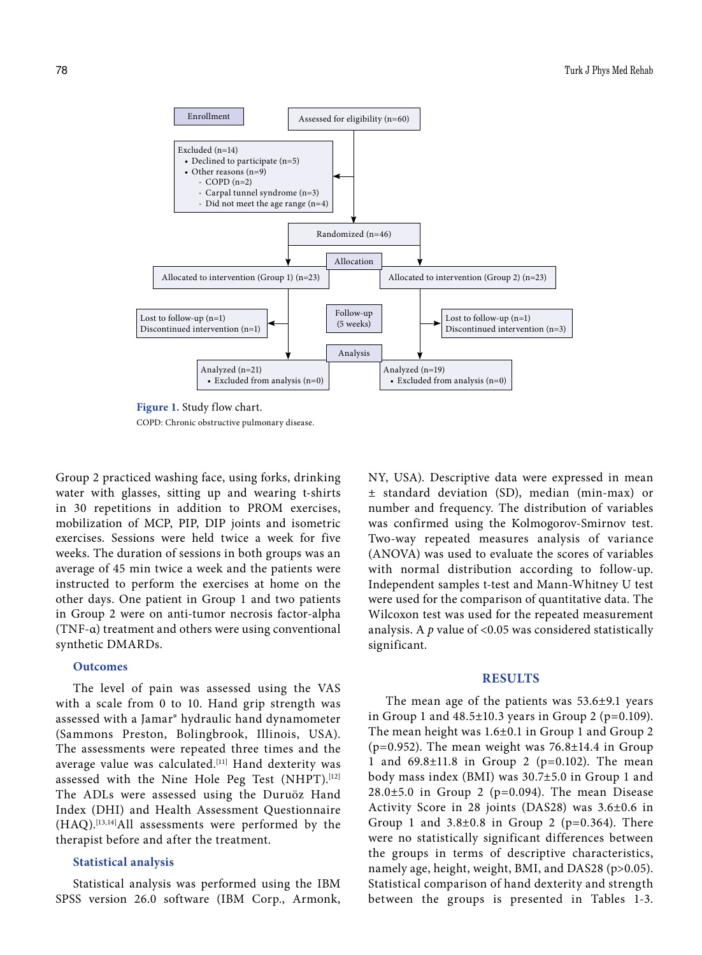

**Figure 1.** Study flow chart. COPD: Chronic obstructive pulmonary disease.

Group 2 practiced washing face, using forks, drinking water with glasses, sitting up and wearing t-shirts in 30 repetitions in addition to PROM exercises, mobilization of MCP, PIP, DIP joints and isometric exercises. Sessions were held twice a week for five weeks. The duration of sessions in both groups was an average of 45 min twice a week and the patients were instructed to perform the exercises at home on the other days. One patient in Group 1 and two patients in Group 2 were on anti-tumor necrosis factor-alpha (TNF-α) treatment and others were using conventional synthetic DMARDs.

#### **Outcomes**

The level of pain was assessed using the VAS with a scale from 0 to 10. Hand grip strength was assessed with a Jamar® hydraulic hand dynamometer (Sammons Preston, Bolingbrook, Illinois, USA). The assessments were repeated three times and the average value was calculated.<sup>[11]</sup> Hand dexterity was assessed with the Nine Hole Peg Test (NHPT).<sup>[12]</sup> The ADLs were assessed using the Duruöz Hand Index (DHI) and Health Assessment Questionnaire (HAQ).[13,14]All assessments were performed by the therapist before and after the treatment.

#### **Statistical analysis**

Statistical analysis was performed using the IBM SPSS version 26.0 software (IBM Corp., Armonk,

NY, USA). Descriptive data were expressed in mean ± standard deviation (SD), median (min-max) or number and frequency. The distribution of variables was confirmed using the Kolmogorov-Smirnov test. Two-way repeated measures analysis of variance (ANOVA) was used to evaluate the scores of variables with normal distribution according to follow-up. Independent samples t-test and Mann-Whitney U test were used for the comparison of quantitative data. The Wilcoxon test was used for the repeated measurement analysis. A *p* value of <0.05 was considered statistically significant.

## **RESULTS**

The mean age of the patients was 53.6±9.1 years in Group 1 and  $48.5\pm10.3$  years in Group 2 (p=0.109). The mean height was 1.6±0.1 in Group 1 and Group 2 ( $p=0.952$ ). The mean weight was  $76.8\pm14.4$  in Group 1 and 69.8±11.8 in Group 2 (p=0.102). The mean body mass index (BMI) was 30.7±5.0 in Group 1 and  $28.0\pm5.0$  in Group 2 (p=0.094). The mean Disease Activity Score in 28 joints (DAS28) was 3.6±0.6 in Group 1 and  $3.8\pm0.8$  in Group 2 (p=0.364). There were no statistically significant differences between the groups in terms of descriptive characteristics, namely age, height, weight, BMI, and DAS28 (p>0.05). Statistical comparison of hand dexterity and strength between the groups is presented in Tables 1-3.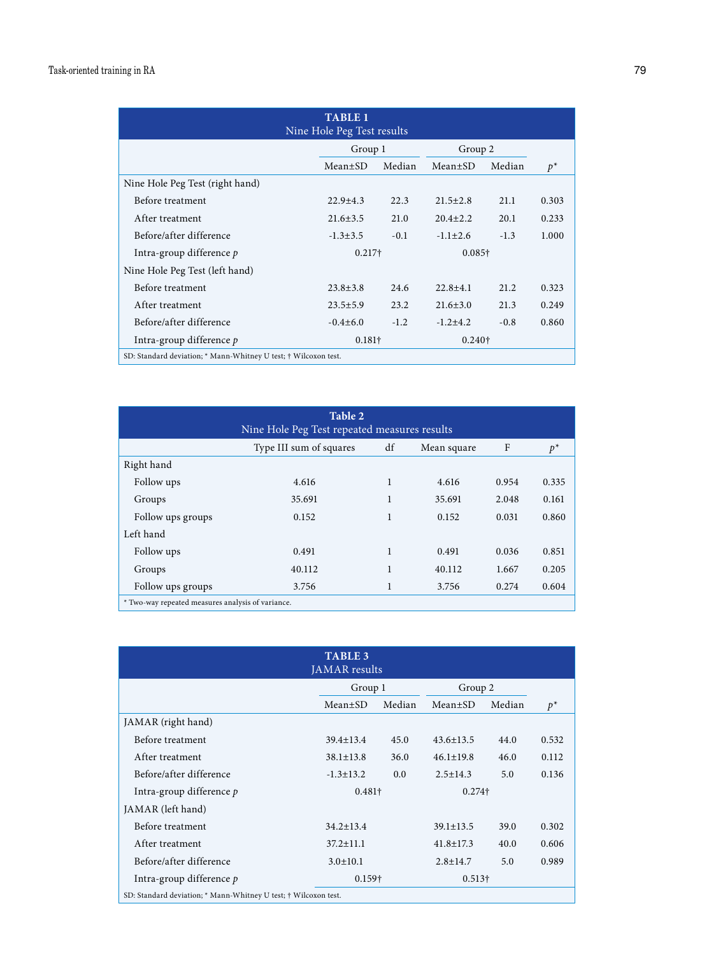| <b>TABLE 1</b><br>Nine Hole Peg Test results                    |                |        |                |        |       |  |
|-----------------------------------------------------------------|----------------|--------|----------------|--------|-------|--|
|                                                                 | Group 1        |        | Group 2        |        |       |  |
|                                                                 | $Mean \pm SD$  | Median | $Mean \pm SD$  | Median | $p^*$ |  |
| Nine Hole Peg Test (right hand)                                 |                |        |                |        |       |  |
| Before treatment                                                | $22.9 + 4.3$   | 22.3   | $21.5 \pm 2.8$ | 21.1   | 0.303 |  |
| After treatment                                                 | $21.6 \pm 3.5$ | 21.0   | $20.4 + 2.2$   | 20.1   | 0.233 |  |
| Before/after difference                                         | $-1.3 \pm 3.5$ | $-0.1$ | $-1.1 \pm 2.6$ | $-1.3$ | 1.000 |  |
| Intra-group difference $p$                                      | $0.217\dagger$ |        | $0.085\dagger$ |        |       |  |
| Nine Hole Peg Test (left hand)                                  |                |        |                |        |       |  |
| Before treatment                                                | $23.8 \pm 3.8$ | 24.6   | $22.8 + 4.1$   | 21.2   | 0.323 |  |
| After treatment                                                 | $23.5 \pm 5.9$ | 23.2   | $21.6 \pm 3.0$ | 21.3   | 0.249 |  |
| Before/after difference                                         | $-0.4\pm 6.0$  | $-1.2$ | $-1.2+4.2$     | $-0.8$ | 0.860 |  |
| Intra-group difference p                                        | $0.181\dagger$ |        | $0.240\dagger$ |        |       |  |
| SD: Standard deviation; * Mann-Whitney U test; † Wilcoxon test. |                |        |                |        |       |  |

| Table 2<br>Nine Hole Peg Test repeated measures results |                         |    |             |       |       |  |
|---------------------------------------------------------|-------------------------|----|-------------|-------|-------|--|
|                                                         | Type III sum of squares | df | Mean square | F     | $p^*$ |  |
| Right hand                                              |                         |    |             |       |       |  |
| Follow ups                                              | 4.616                   | 1  | 4.616       | 0.954 | 0.335 |  |
| Groups                                                  | 35.691                  | 1  | 35.691      | 2.048 | 0.161 |  |
| Follow ups groups                                       | 0.152                   | 1  | 0.152       | 0.031 | 0.860 |  |
| Left hand                                               |                         |    |             |       |       |  |
| Follow ups                                              | 0.491                   | 1  | 0.491       | 0.036 | 0.851 |  |
| Groups                                                  | 40.112                  | 1  | 40.112      | 1.667 | 0.205 |  |
| Follow ups groups                                       | 3.756                   | 1  | 3.756       | 0.274 | 0.604 |  |
| * Two-way repeated measures analysis of variance.       |                         |    |             |       |       |  |

| <b>TABLE 3</b><br>JAMAR results                                 |                 |        |                 |        |       |  |
|-----------------------------------------------------------------|-----------------|--------|-----------------|--------|-------|--|
|                                                                 | Group 1         |        | Group 2         |        |       |  |
|                                                                 | $Mean \pm SD$   | Median | $Mean \pm SD$   | Median | $p^*$ |  |
| JAMAR (right hand)                                              |                 |        |                 |        |       |  |
| Before treatment                                                | $39.4 \pm 13.4$ | 45.0   | $43.6 \pm 13.5$ | 44.0   | 0.532 |  |
| After treatment                                                 | $38.1 \pm 13.8$ | 36.0   | $46.1 \pm 19.8$ | 46.0   | 0.112 |  |
| Before/after difference                                         | $-1.3 \pm 13.2$ | 0.0    | $2.5 \pm 14.3$  | 5.0    | 0.136 |  |
| Intra-group difference $p$                                      | $0.481\dagger$  |        | $0.274\dagger$  |        |       |  |
| JAMAR (left hand)                                               |                 |        |                 |        |       |  |
| Before treatment                                                | $34.2 \pm 13.4$ |        | $39.1 \pm 13.5$ | 39.0   | 0.302 |  |
| After treatment                                                 | $37.2 \pm 11.1$ |        | $41.8 \pm 17.3$ | 40.0   | 0.606 |  |
| Before/after difference                                         | $3.0 \pm 10.1$  |        | $2.8 \pm 14.7$  | 5.0    | 0.989 |  |
| Intra-group difference p                                        | $0.159\dagger$  |        | $0.513\dagger$  |        |       |  |
| SD: Standard deviation; * Mann-Whitney U test; † Wilcoxon test. |                 |        |                 |        |       |  |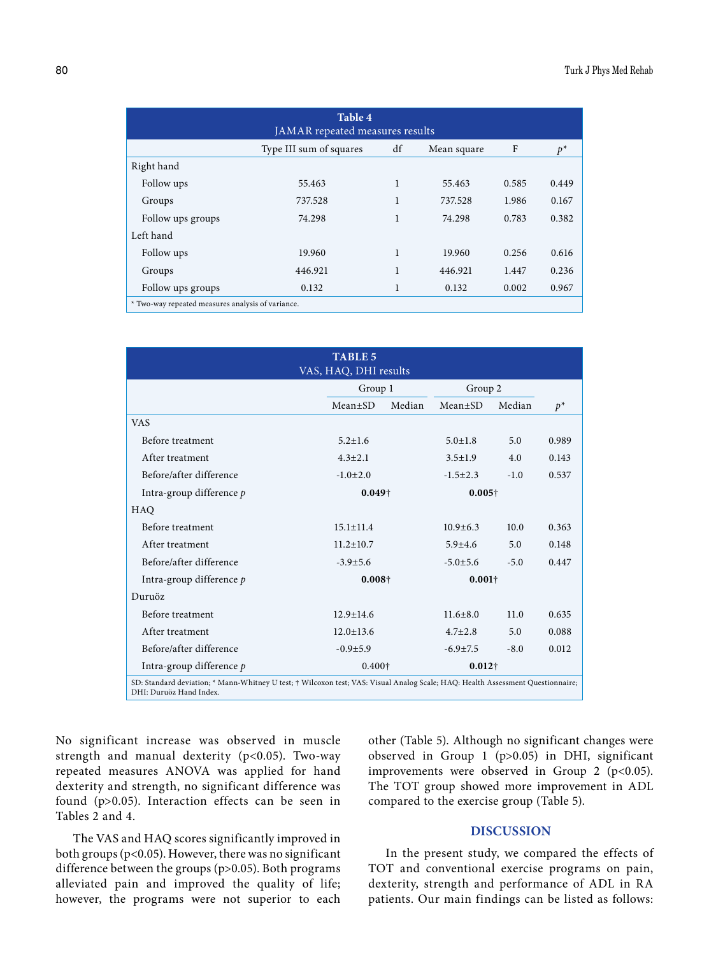| Table 4<br>JAMAR repeated measures results        |                         |    |             |       |       |  |
|---------------------------------------------------|-------------------------|----|-------------|-------|-------|--|
|                                                   | Type III sum of squares | df | Mean square | F     | $p^*$ |  |
| Right hand                                        |                         |    |             |       |       |  |
| Follow ups                                        | 55.463                  | 1  | 55.463      | 0.585 | 0.449 |  |
| Groups                                            | 737.528                 | 1  | 737.528     | 1.986 | 0.167 |  |
| Follow ups groups                                 | 74.298                  | 1  | 74.298      | 0.783 | 0.382 |  |
| Left hand                                         |                         |    |             |       |       |  |
| Follow ups                                        | 19.960                  | 1  | 19.960      | 0.256 | 0.616 |  |
| Groups                                            | 446.921                 | 1  | 446.921     | 1.447 | 0.236 |  |
| Follow ups groups                                 | 0.132                   | 1  | 0.132       | 0.002 | 0.967 |  |
| * Two-way repeated measures analysis of variance. |                         |    |             |       |       |  |

| <b>TABLE 5</b><br>VAS, HAQ, DHI results                                                                                                                    |                                  |        |                |        |       |  |
|------------------------------------------------------------------------------------------------------------------------------------------------------------|----------------------------------|--------|----------------|--------|-------|--|
|                                                                                                                                                            | Group 1                          |        | Group 2        |        |       |  |
|                                                                                                                                                            | $Mean \pm SD$                    | Median | $Mean \pm SD$  | Median | $p^*$ |  |
| <b>VAS</b>                                                                                                                                                 |                                  |        |                |        |       |  |
| Before treatment                                                                                                                                           | $5.2 + 1.6$                      |        | $5.0 \pm 1.8$  | 5.0    | 0.989 |  |
| After treatment                                                                                                                                            | $4.3 + 2.1$                      |        | $3.5 \pm 1.9$  | 4.0    | 0.143 |  |
| Before/after difference                                                                                                                                    | $-1.0+2.0$                       |        | $-1.5+2.3$     | $-1.0$ | 0.537 |  |
| Intra-group difference $p$                                                                                                                                 | $0.049 +$                        |        | $0.005\dagger$ |        |       |  |
| HAQ                                                                                                                                                        |                                  |        |                |        |       |  |
| Before treatment                                                                                                                                           | $15.1 \pm 11.4$                  |        | $10.9 + 6.3$   | 10.0   | 0.363 |  |
| After treatment                                                                                                                                            | $11.2 \pm 10.7$                  |        | $5.9 + 4.6$    | 5.0    | 0.148 |  |
| Before/after difference                                                                                                                                    | $-3.9 \pm 5.6$                   |        | $-5.0 \pm 5.6$ | $-5.0$ | 0.447 |  |
| Intra-group difference $p$                                                                                                                                 | $0.008\dagger$                   |        | $0.001\dagger$ |        |       |  |
| Duruöz                                                                                                                                                     |                                  |        |                |        |       |  |
| Before treatment                                                                                                                                           | $12.9 \pm 14.6$                  |        | $11.6 \pm 8.0$ | 11.0   | 0.635 |  |
| After treatment                                                                                                                                            | $12.0 \pm 13.6$                  |        | $4.7 + 2.8$    | 5.0    | 0.088 |  |
| Before/after difference                                                                                                                                    | $-0.9 + 5.9$                     |        | $-6.9 \pm 7.5$ | $-8.0$ | 0.012 |  |
| Intra-group difference $p$                                                                                                                                 | $0.400\dagger$<br>$0.012\dagger$ |        |                |        |       |  |
| SD: Standard deviation; * Mann-Whitney U test; † Wilcoxon test; VAS: Visual Analog Scale; HAQ: Health Assessment Questionnaire;<br>DHI: Duruöz Hand Index. |                                  |        |                |        |       |  |

No significant increase was observed in muscle strength and manual dexterity (p<0.05). Two-way repeated measures ANOVA was applied for hand dexterity and strength, no significant difference was found (p>0.05). Interaction effects can be seen in Tables 2 and 4.

The VAS and HAQ scores significantly improved in both groups (p<0.05). However, there was no significant difference between the groups (p>0.05). Both programs alleviated pain and improved the quality of life; however, the programs were not superior to each other (Table 5). Although no significant changes were observed in Group 1 (p>0.05) in DHI, significant improvements were observed in Group 2 ( $p$ <0.05). The TOT group showed more improvement in ADL compared to the exercise group (Table 5).

## **DISCUSSION**

In the present study, we compared the effects of TOT and conventional exercise programs on pain, dexterity, strength and performance of ADL in RA patients. Our main findings can be listed as follows: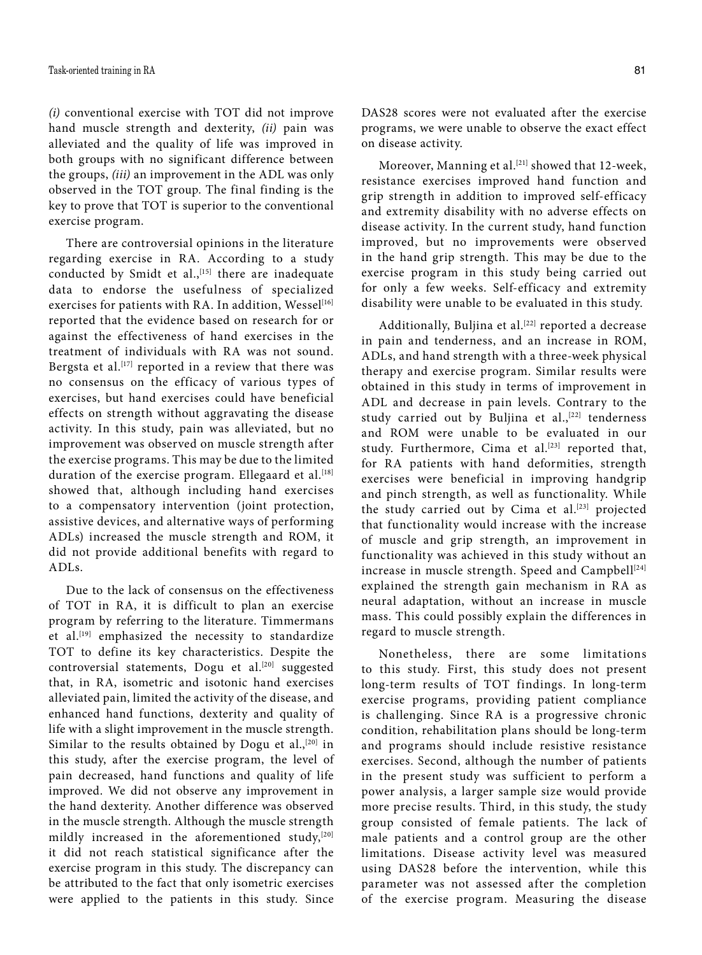*(i)* conventional exercise with TOT did not improve hand muscle strength and dexterity, *(ii)* pain was alleviated and the quality of life was improved in both groups with no significant difference between the groups, *(iii)* an improvement in the ADL was only observed in the TOT group. The final finding is the key to prove that TOT is superior to the conventional exercise program.

There are controversial opinions in the literature regarding exercise in RA. According to a study conducted by Smidt et al.,<sup>[15]</sup> there are inadequate data to endorse the usefulness of specialized exercises for patients with RA. In addition, Wessel<sup>[16]</sup> reported that the evidence based on research for or against the effectiveness of hand exercises in the treatment of individuals with RA was not sound. Bergsta et al.<sup>[17]</sup> reported in a review that there was no consensus on the efficacy of various types of exercises, but hand exercises could have beneficial effects on strength without aggravating the disease activity. In this study, pain was alleviated, but no improvement was observed on muscle strength after the exercise programs. This may be due to the limited duration of the exercise program. Ellegaard et al.<sup>[18]</sup> showed that, although including hand exercises to a compensatory intervention (joint protection, assistive devices, and alternative ways of performing ADLs) increased the muscle strength and ROM, it did not provide additional benefits with regard to ADLs.

Due to the lack of consensus on the effectiveness of TOT in RA, it is difficult to plan an exercise program by referring to the literature. Timmermans et al.<sup>[19]</sup> emphasized the necessity to standardize TOT to define its key characteristics. Despite the controversial statements, Dogu et al.<sup>[20]</sup> suggested that, in RA, isometric and isotonic hand exercises alleviated pain, limited the activity of the disease, and enhanced hand functions, dexterity and quality of life with a slight improvement in the muscle strength. Similar to the results obtained by Dogu et al., $[20]$  in this study, after the exercise program, the level of pain decreased, hand functions and quality of life improved. We did not observe any improvement in the hand dexterity. Another difference was observed in the muscle strength. Although the muscle strength mildly increased in the aforementioned study,<sup>[20]</sup> it did not reach statistical significance after the exercise program in this study. The discrepancy can be attributed to the fact that only isometric exercises were applied to the patients in this study. Since

DAS28 scores were not evaluated after the exercise programs, we were unable to observe the exact effect on disease activity.

Moreover, Manning et al.<sup>[21]</sup> showed that 12-week, resistance exercises improved hand function and grip strength in addition to improved self-efficacy and extremity disability with no adverse effects on disease activity. In the current study, hand function improved, but no improvements were observed in the hand grip strength. This may be due to the exercise program in this study being carried out for only a few weeks. Self-efficacy and extremity disability were unable to be evaluated in this study.

Additionally, Buljina et al.<sup>[22]</sup> reported a decrease in pain and tenderness, and an increase in ROM, ADLs, and hand strength with a three-week physical therapy and exercise program. Similar results were obtained in this study in terms of improvement in ADL and decrease in pain levels. Contrary to the study carried out by Buljina et al.,<sup>[22]</sup> tenderness and ROM were unable to be evaluated in our study. Furthermore, Cima et al.<sup>[23]</sup> reported that, for RA patients with hand deformities, strength exercises were beneficial in improving handgrip and pinch strength, as well as functionality. While the study carried out by Cima et al. $[23]$  projected that functionality would increase with the increase of muscle and grip strength, an improvement in functionality was achieved in this study without an increase in muscle strength. Speed and Campbell<sup>[24]</sup> explained the strength gain mechanism in RA as neural adaptation, without an increase in muscle mass. This could possibly explain the differences in regard to muscle strength.

Nonetheless, there are some limitations to this study. First, this study does not present long-term results of TOT findings. In long-term exercise programs, providing patient compliance is challenging. Since RA is a progressive chronic condition, rehabilitation plans should be long-term and programs should include resistive resistance exercises. Second, although the number of patients in the present study was sufficient to perform a power analysis, a larger sample size would provide more precise results. Third, in this study, the study group consisted of female patients. The lack of male patients and a control group are the other limitations. Disease activity level was measured using DAS28 before the intervention, while this parameter was not assessed after the completion of the exercise program. Measuring the disease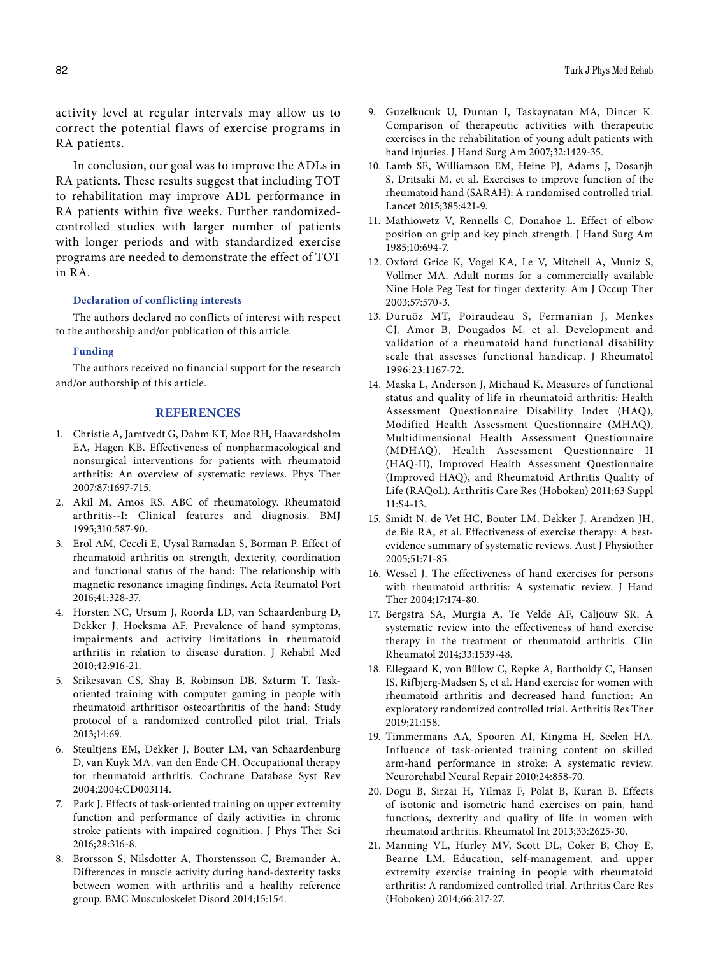activity level at regular intervals may allow us to correct the potential flaws of exercise programs in RA patients.

In conclusion, our goal was to improve the ADLs in RA patients. These results suggest that including TOT to rehabilitation may improve ADL performance in RA patients within five weeks. Further randomizedcontrolled studies with larger number of patients with longer periods and with standardized exercise programs are needed to demonstrate the effect of TOT in RA.

# **Declaration of conflicting interests**

The authors declared no conflicts of interest with respect to the authorship and/or publication of this article.

#### **Funding**

The authors received no financial support for the research and/or authorship of this article.

# **REFERENCES**

- 1. Christie A, Jamtvedt G, Dahm KT, Moe RH, Haavardsholm EA, Hagen KB. Effectiveness of nonpharmacological and nonsurgical interventions for patients with rheumatoid arthritis: An overview of systematic reviews. Phys Ther 2007;87:1697-715.
- 2. Akil M, Amos RS. ABC of rheumatology. Rheumatoid arthritis--I: Clinical features and diagnosis. BMJ 1995;310:587-90.
- 3. Erol AM, Ceceli E, Uysal Ramadan S, Borman P. Effect of rheumatoid arthritis on strength, dexterity, coordination and functional status of the hand: The relationship with magnetic resonance imaging findings. Acta Reumatol Port 2016;41:328-37.
- 4. Horsten NC, Ursum J, Roorda LD, van Schaardenburg D, Dekker J, Hoeksma AF. Prevalence of hand symptoms, impairments and activity limitations in rheumatoid arthritis in relation to disease duration. J Rehabil Med 2010;42:916-21.
- 5. Srikesavan CS, Shay B, Robinson DB, Szturm T. Taskoriented training with computer gaming in people with rheumatoid arthritisor osteoarthritis of the hand: Study protocol of a randomized controlled pilot trial. Trials 2013;14:69.
- 6. Steultjens EM, Dekker J, Bouter LM, van Schaardenburg D, van Kuyk MA, van den Ende CH. Occupational therapy for rheumatoid arthritis. Cochrane Database Syst Rev 2004;2004:CD003114.
- 7. Park J. Effects of task-oriented training on upper extremity function and performance of daily activities in chronic stroke patients with impaired cognition. J Phys Ther Sci 2016;28:316-8.
- 8. Brorsson S, Nilsdotter A, Thorstensson C, Bremander A. Differences in muscle activity during hand-dexterity tasks between women with arthritis and a healthy reference group. BMC Musculoskelet Disord 2014;15:154.
- 9. Guzelkucuk U, Duman I, Taskaynatan MA, Dincer K. Comparison of therapeutic activities with therapeutic exercises in the rehabilitation of young adult patients with hand injuries. J Hand Surg Am 2007;32:1429-35.
- 10. Lamb SE, Williamson EM, Heine PJ, Adams J, Dosanjh S, Dritsaki M, et al. Exercises to improve function of the rheumatoid hand (SARAH): A randomised controlled trial. Lancet 2015;385:421-9.
- 11. Mathiowetz V, Rennells C, Donahoe L. Effect of elbow position on grip and key pinch strength. J Hand Surg Am 1985;10:694-7.
- 12. Oxford Grice K, Vogel KA, Le V, Mitchell A, Muniz S, Vollmer MA. Adult norms for a commercially available Nine Hole Peg Test for finger dexterity. Am J Occup Ther 2003;57:570-3.
- 13. Duruöz MT, Poiraudeau S, Fermanian J, Menkes CJ, Amor B, Dougados M, et al. Development and validation of a rheumatoid hand functional disability scale that assesses functional handicap. J Rheumatol 1996;23:1167-72.
- 14. Maska L, Anderson J, Michaud K. Measures of functional status and quality of life in rheumatoid arthritis: Health Assessment Questionnaire Disability Index (HAQ), Modified Health Assessment Questionnaire (MHAQ), Multidimensional Health Assessment Questionnaire (MDHAQ), Health Assessment Questionnaire II (HAQ-II), Improved Health Assessment Questionnaire (Improved HAQ), and Rheumatoid Arthritis Quality of Life (RAQoL). Arthritis Care Res (Hoboken) 2011;63 Suppl 11:S4-13.
- 15. Smidt N, de Vet HC, Bouter LM, Dekker J, Arendzen JH, de Bie RA, et al. Effectiveness of exercise therapy: A bestevidence summary of systematic reviews. Aust J Physiother 2005;51:71-85.
- 16. Wessel J. The effectiveness of hand exercises for persons with rheumatoid arthritis: A systematic review. J Hand Ther 2004;17:174-80.
- 17. Bergstra SA, Murgia A, Te Velde AF, Caljouw SR. A systematic review into the effectiveness of hand exercise therapy in the treatment of rheumatoid arthritis. Clin Rheumatol 2014;33:1539-48.
- 18. Ellegaard K, von Bülow C, Røpke A, Bartholdy C, Hansen IS, Rifbjerg-Madsen S, et al. Hand exercise for women with rheumatoid arthritis and decreased hand function: An exploratory randomized controlled trial. Arthritis Res Ther 2019;21:158.
- 19. Timmermans AA, Spooren AI, Kingma H, Seelen HA. Influence of task-oriented training content on skilled arm-hand performance in stroke: A systematic review. Neurorehabil Neural Repair 2010;24:858-70.
- 20. Dogu B, Sirzai H, Yilmaz F, Polat B, Kuran B. Effects of isotonic and isometric hand exercises on pain, hand functions, dexterity and quality of life in women with rheumatoid arthritis. Rheumatol Int 2013;33:2625-30.
- 21. Manning VL, Hurley MV, Scott DL, Coker B, Choy E, Bearne LM. Education, self-management, and upper extremity exercise training in people with rheumatoid arthritis: A randomized controlled trial. Arthritis Care Res (Hoboken) 2014;66:217-27.